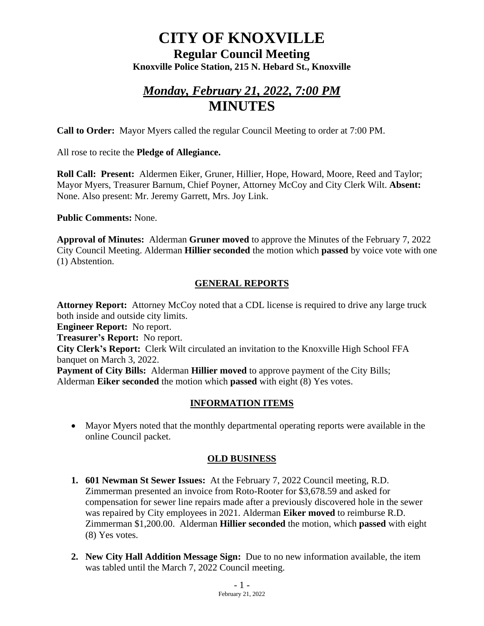# **CITY OF KNOXVILLE**

**Regular Council Meeting Knoxville Police Station, 215 N. Hebard St., Knoxville**

# *Monday, February 21, 2022, 7:00 PM* **MINUTES**

**Call to Order:** Mayor Myers called the regular Council Meeting to order at 7:00 PM.

All rose to recite the **Pledge of Allegiance.**

**Roll Call: Present:** Aldermen Eiker, Gruner, Hillier, Hope, Howard, Moore, Reed and Taylor; Mayor Myers, Treasurer Barnum, Chief Poyner, Attorney McCoy and City Clerk Wilt. **Absent:** None. Also present: Mr. Jeremy Garrett, Mrs. Joy Link.

**Public Comments:** None.

**Approval of Minutes:** Alderman **Gruner moved** to approve the Minutes of the February 7, 2022 City Council Meeting. Alderman **Hillier seconded** the motion which **passed** by voice vote with one (1) Abstention.

### **GENERAL REPORTS**

**Attorney Report:** Attorney McCoy noted that a CDL license is required to drive any large truck both inside and outside city limits.

**Engineer Report:** No report.

**Treasurer's Report:** No report.

**City Clerk's Report:** Clerk Wilt circulated an invitation to the Knoxville High School FFA banquet on March 3, 2022.

**Payment of City Bills:** Alderman **Hillier moved** to approve payment of the City Bills; Alderman **Eiker seconded** the motion which **passed** with eight (8) Yes votes.

### **INFORMATION ITEMS**

• Mayor Myers noted that the monthly departmental operating reports were available in the online Council packet.

### **OLD BUSINESS**

- **1. 601 Newman St Sewer Issues:** At the February 7, 2022 Council meeting, R.D. Zimmerman presented an invoice from Roto-Rooter for \$3,678.59 and asked for compensation for sewer line repairs made after a previously discovered hole in the sewer was repaired by City employees in 2021. Alderman **Eiker moved** to reimburse R.D. Zimmerman \$1,200.00. Alderman **Hillier seconded** the motion, which **passed** with eight (8) Yes votes.
- **2. New City Hall Addition Message Sign:** Due to no new information available, the item was tabled until the March 7, 2022 Council meeting.

 $-1 -$ February 21, 2022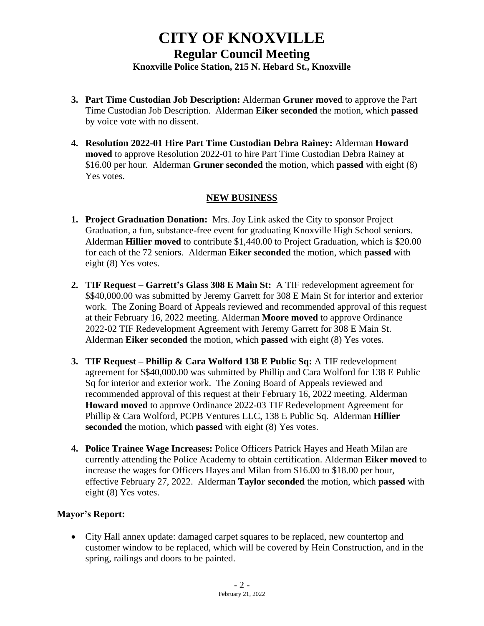# **CITY OF KNOXVILLE Regular Council Meeting Knoxville Police Station, 215 N. Hebard St., Knoxville**

- **3. Part Time Custodian Job Description:** Alderman **Gruner moved** to approve the Part Time Custodian Job Description. Alderman **Eiker seconded** the motion, which **passed** by voice vote with no dissent.
- **4. Resolution 2022-01 Hire Part Time Custodian Debra Rainey:** Alderman **Howard moved** to approve Resolution 2022-01 to hire Part Time Custodian Debra Rainey at \$16.00 per hour. Alderman **Gruner seconded** the motion, which **passed** with eight (8) Yes votes.

#### **NEW BUSINESS**

- **1. Project Graduation Donation:** Mrs. Joy Link asked the City to sponsor Project Graduation, a fun, substance-free event for graduating Knoxville High School seniors. Alderman **Hillier moved** to contribute \$1,440.00 to Project Graduation, which is \$20.00 for each of the 72 seniors. Alderman **Eiker seconded** the motion, which **passed** with eight (8) Yes votes.
- **2. TIF Request – Garrett's Glass 308 E Main St:** A TIF redevelopment agreement for \$\$40,000.00 was submitted by Jeremy Garrett for 308 E Main St for interior and exterior work. The Zoning Board of Appeals reviewed and recommended approval of this request at their February 16, 2022 meeting. Alderman **Moore moved** to approve Ordinance 2022-02 TIF Redevelopment Agreement with Jeremy Garrett for 308 E Main St. Alderman **Eiker seconded** the motion, which **passed** with eight (8) Yes votes.
- **3. TIF Request – Phillip & Cara Wolford 138 E Public Sq:** A TIF redevelopment agreement for \$\$40,000.00 was submitted by Phillip and Cara Wolford for 138 E Public Sq for interior and exterior work. The Zoning Board of Appeals reviewed and recommended approval of this request at their February 16, 2022 meeting. Alderman **Howard moved** to approve Ordinance 2022-03 TIF Redevelopment Agreement for Phillip & Cara Wolford, PCPB Ventures LLC, 138 E Public Sq. Alderman **Hillier seconded** the motion, which **passed** with eight (8) Yes votes.
- **4. Police Trainee Wage Increases:** Police Officers Patrick Hayes and Heath Milan are currently attending the Police Academy to obtain certification. Alderman **Eiker moved** to increase the wages for Officers Hayes and Milan from \$16.00 to \$18.00 per hour, effective February 27, 2022. Alderman **Taylor seconded** the motion, which **passed** with eight (8) Yes votes.

#### **Mayor's Report:**

• City Hall annex update: damaged carpet squares to be replaced, new countertop and customer window to be replaced, which will be covered by Hein Construction, and in the spring, railings and doors to be painted.